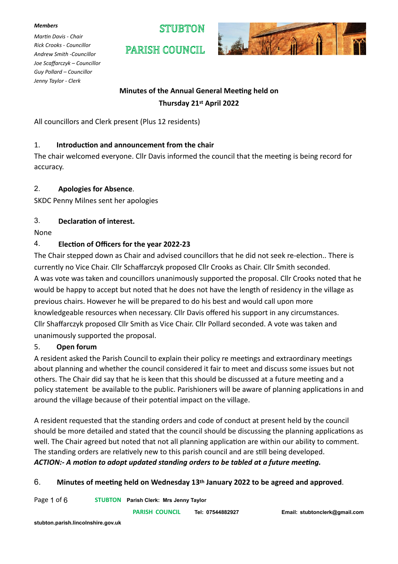#### *Members*

*Martin Davis - Chair Rick Crooks - Councillor Andrew Smith -Councillor Joe Scaffarczyk – Councillor Guy Pollard – Councillor Jenny Taylor - Clerk*

STIFRTON

PARISH COUNCIL



# **Minutes of the Annual General Meeting held on Thursday 21st April 2022**

All councillors and Clerk present (Plus 12 residents)

### 1. **Introduction and announcement from the chair**

The chair welcomed everyone. Cllr Davis informed the council that the meeting is being record for accuracy.

### 2. **Apologies for Absence**.

SKDC Penny Milnes sent her apologies

# 3. **Declaration of interest.**

#### None

### 4. **Election of Officers for the year 2022-23**

The Chair stepped down as Chair and advised councillors that he did not seek re-election.. There is currently no Vice Chair. Cllr Schaffarczyk proposed Cllr Crooks as Chair. Cllr Smith seconded. A was vote was taken and councillors unanimously supported the proposal. Cllr Crooks noted that he would be happy to accept but noted that he does not have the length of residency in the village as previous chairs. However he will be prepared to do his best and would call upon more knowledgeable resources when necessary. Cllr Davis offered his support in any circumstances. Cllr Shaffarczyk proposed Cllr Smith as Vice Chair. Cllr Pollard seconded. A vote was taken and unanimously supported the proposal.

#### 5. **Open forum**

A resident asked the Parish Council to explain their policy re meetings and extraordinary meetings about planning and whether the council considered it fair to meet and discuss some issues but not others. The Chair did say that he is keen that this should be discussed at a future meeting and a policy statement be available to the public. Parishioners will be aware of planning applications in and around the village because of their potential impact on the village.

A resident requested that the standing orders and code of conduct at present held by the council should be more detailed and stated that the council should be discussing the planning applications as well. The Chair agreed but noted that not all planning application are within our ability to comment. The standing orders are relatively new to this parish council and are still being developed. *ACTION:- A motion to adopt updated standing orders to be tabled at a future meeting.*

# 6. **Minutes of meeting held on Wednesday 13th January 2022 to be agreed and approved**.

Page 1 of 6 **STUBTON Parish Clerk: Mrs Jenny Taylor** 

 **PARISH COUNCIL Tel: 07544882927 Email: stubtonclerk@gmail.com**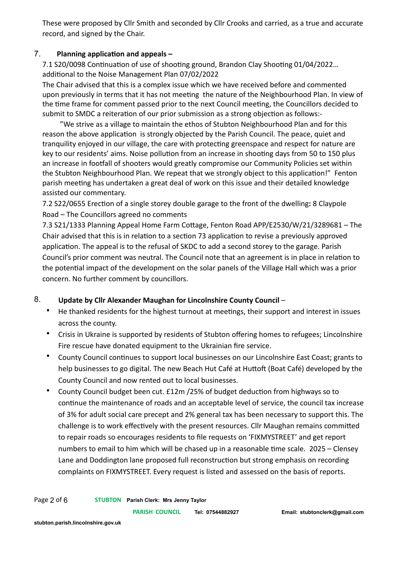These were proposed by Cllr Smith and seconded by Cllr Crooks and carried, as a true and accurate record, and signed by the Chair.

### 7. **Planning application and appeals –**

7.1 S20/0098 Continuation of use of shooting ground, Brandon Clay Shooting 01/04/2022… additional to the Noise Management Plan 07/02/2022

The Chair advised that this is a complex issue which we have received before and commented upon previously in terms that it has not meeting the nature of the Neighbourhood Plan. In view of the time frame for comment passed prior to the next Council meeting, the Councillors decided to submit to SMDC a reiteration of our prior submission as a strong objection as follows:-

 "We strive as a village to maintain the ethos of Stubton Neighbourhood Plan and for this reason the above application is strongly objected by the Parish Council. The peace, quiet and tranquility enjoyed in our village, the care with protecting greenspace and respect for nature are key to our residents' aims. Noise pollution from an increase in shooting days from 50 to 150 plus an increase in footfall of shooters would greatly compromise our Community Policies set within the Stubton Neighbourhood Plan. We repeat that we strongly object to this application!" Fenton parish meeting has undertaken a great deal of work on this issue and their detailed knowledge assisted our commentary.

7.2 S22/0655 Erection of a single storey double garage to the front of the dwelling**:** 8 Claypole Road – The Councillors agreed no comments

7.3 S21/1333 Planning Appeal Home Farm Cottage, Fenton Road APP/E2530/W/21/3289681 – The Chair advised that this is in relation to a section 73 application to revise a previously approved application. The appeal is to the refusal of SKDC to add a second storey to the garage. Parish Council's prior comment was neutral. The Council note that an agreement is in place in relation to the potential impact of the development on the solar panels of the Village Hall which was a prior concern. No further comment by councillors.

# 8. **Update by Cllr Alexander Maughan for Lincolnshire County Council** –

- He thanked residents for the highest turnout at meetings, their support and interest in issues across the county.
- Crisis in Ukraine is supported by residents of Stubton offering homes to refugees; Lincolnshire Fire rescue have donated equipment to the Ukrainian fire service.
- County Council continues to support local businesses on our Lincolnshire East Coast; grants to help businesses to go digital. The new Beach Hut Café at Huttoft (Boat Café) developed by the County Council and now rented out to local businesses.
- County Council budget been cut. £12m /25% of budget deduction from highways so to continue the maintenance of roads and an acceptable level of service, the council tax increase of 3% for adult social care precept and 2% general tax has been necessary to support this. The challenge is to work effectively with the present resources. Cllr Maughan remains committed to repair roads so encourages residents to file requests on 'FIXMYSTREET' and get report numbers to email to him which will be chased up in a reasonable time scale. 2025 – Clensey Lane and Doddington lane proposed full reconstruction but strong emphasis on recording complaints on FIXMYSTREET. Every request is listed and assessed on the basis of reports.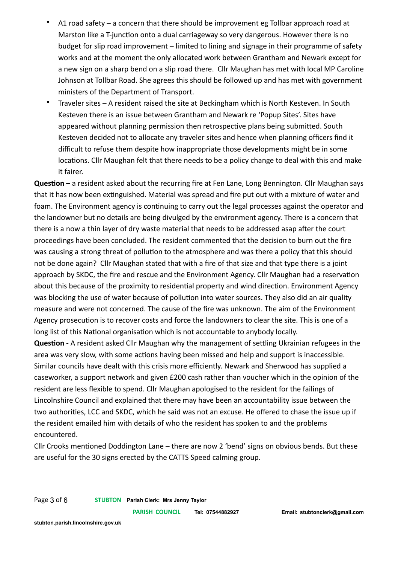- A1 road safety a concern that there should be improvement eg Tollbar approach road at Marston like a T-junction onto a dual carriageway so very dangerous. However there is no budget for slip road improvement – limited to lining and signage in their programme of safety works and at the moment the only allocated work between Grantham and Newark except for a new sign on a sharp bend on a slip road there. Cllr Maughan has met with local MP Caroline Johnson at Tollbar Road. She agrees this should be followed up and has met with government ministers of the Department of Transport.
- Traveler sites A resident raised the site at Beckingham which is North Kesteven. In South Kesteven there is an issue between Grantham and Newark re 'Popup Sites'. Sites have appeared without planning permission then retrospective plans being submitted. South Kesteven decided not to allocate any traveler sites and hence when planning officers find it difficult to refuse them despite how inappropriate those developments might be in some locations. Cllr Maughan felt that there needs to be a policy change to deal with this and make it fairer.

**Question –** a resident asked about the recurring fire at Fen Lane, Long Bennington. Cllr Maughan says that it has now been extinguished. Material was spread and fire put out with a mixture of water and foam. The Environment agency is continuing to carry out the legal processes against the operator and the landowner but no details are being divulged by the environment agency. There is a concern that there is a now a thin layer of dry waste material that needs to be addressed asap after the court proceedings have been concluded. The resident commented that the decision to burn out the fire was causing a strong threat of pollution to the atmosphere and was there a policy that this should not be done again? Cllr Maughan stated that with a fire of that size and that type there is a joint approach by SKDC, the fire and rescue and the Environment Agency. Cllr Maughan had a reservation about this because of the proximity to residential property and wind direction. Environment Agency was blocking the use of water because of pollution into water sources. They also did an air quality measure and were not concerned. The cause of the fire was unknown. The aim of the Environment Agency prosecution is to recover costs and force the landowners to clear the site. This is one of a long list of this National organisation which is not accountable to anybody locally.

**Question -** A resident asked Cllr Maughan why the management of settling Ukrainian refugees in the area was very slow, with some actions having been missed and help and support is inaccessible. Similar councils have dealt with this crisis more efficiently. Newark and Sherwood has supplied a caseworker, a support network and given £200 cash rather than voucher which in the opinion of the resident are less flexible to spend. Cllr Maughan apologised to the resident for the failings of Lincolnshire Council and explained that there may have been an accountability issue between the two authorities, LCC and SKDC, which he said was not an excuse. He offered to chase the issue up if the resident emailed him with details of who the resident has spoken to and the problems encountered.

Cllr Crooks mentioned Doddington Lane – there are now 2 'bend' signs on obvious bends. But these are useful for the 30 signs erected by the CATTS Speed calming group.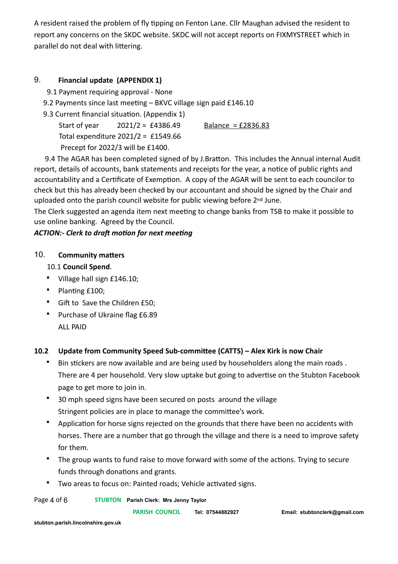A resident raised the problem of fly tipping on Fenton Lane. Cllr Maughan advised the resident to report any concerns on the SKDC website. SKDC will not accept reports on FIXMYSTREET which in parallel do not deal with littering.

# 9. **Financial update (APPENDIX 1)**

9.1 Payment requiring approval - None

9.2 Payments since last meeting – BKVC village sign paid £146.10

9.3 Current financial situation. (Appendix 1)

Start of year  $2021/2 = 64386.49$  Balance = £2836.83 Total expenditure 2021/2 = £1549.66 Precept for 2022/3 will be £1400.

 9.4 The AGAR has been completed signed of by J.Bratton. This includes the Annual internal Audit report, details of accounts, bank statements and receipts for the year, a notice of public rights and accountability and a Certificate of Exemption. A copy of the AGAR will be sent to each councilor to check but this has already been checked by our accountant and should be signed by the Chair and uploaded onto the parish council website for public viewing before 2<sup>nd</sup> June.

The Clerk suggested an agenda item next meeting to change banks from TSB to make it possible to use online banking. Agreed by the Council.

### *ACTION:- Clerk to draft motion for next meeting*

# 10. **Community matters**

### 10.1 **Council Spend**.

- Village hall sign £146.10;
- Planting £100;
- Gift to Save the Children £50;
- Purchase of Ukraine flag £6.89 ALL PAID

# **10.2 Update from Community Speed Sub-committee (CATTS) – Alex Kirk is now Chair**

- Bin stickers are now available and are being used by householders along the main roads . There are 4 per household. Very slow uptake but going to advertise on the Stubton Facebook page to get more to join in.
- 30 mph speed signs have been secured on posts around the village Stringent policies are in place to manage the committee's work.
- Application for horse signs rejected on the grounds that there have been no accidents with horses. There are a number that go through the village and there is a need to improve safety for them.
- The group wants to fund raise to move forward with some of the actions. Trying to secure funds through donations and grants.
- Two areas to focus on: Painted roads; Vehicle activated signs.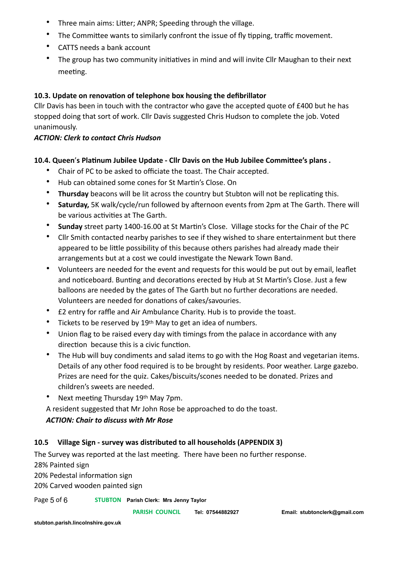- Three main aims: Litter; ANPR; Speeding through the village.
- The Committee wants to similarly confront the issue of fly tipping, traffic movement.
- CATTS needs a bank account
- The group has two community initiatives in mind and will invite Cllr Maughan to their next meeting.

# **10.3. Update on renovation of telephone box housing the defibrillator**

Cllr Davis has been in touch with the contractor who gave the accepted quote of £400 but he has stopped doing that sort of work. Cllr Davis suggested Chris Hudson to complete the job. Voted unanimously.

# *ACTION: Clerk to contact Chris Hudson*

# **10.4. Queen**'**s Platinum Jubilee Update - Cllr Davis on the Hub Jubilee Committee's plans .**

- Chair of PC to be asked to officiate the toast. The Chair accepted.
- Hub can obtained some cones for St Martin's Close. On
- **Thursday** beacons will be lit across the country but Stubton will not be replicating this.
- **Saturday,** 5K walk/cycle/run followed by afternoon events from 2pm at The Garth. There will be various activities at The Garth.
- **Sunday** street party 1400-16.00 at St Martin's Close. Village stocks for the Chair of the PC
- Cllr Smith contacted nearby parishes to see if they wished to share entertainment but there appeared to be little possibility of this because others parishes had already made their arrangements but at a cost we could investigate the Newark Town Band.
- Volunteers are needed for the event and requests for this would be put out by email, leaflet and noticeboard. Bunting and decorations erected by Hub at St Martin's Close. Just a few balloons are needed by the gates of The Garth but no further decorations are needed. Volunteers are needed for donations of cakes/savouries.
- £2 entry for raffle and Air Ambulance Charity. Hub is to provide the toast.
- Tickets to be reserved by 19<sup>th</sup> May to get an idea of numbers.
- Union flag to be raised every day with timings from the palace in accordance with any direction because this is a civic function.
- The Hub will buy condiments and salad items to go with the Hog Roast and vegetarian items. Details of any other food required is to be brought by residents. Poor weather. Large gazebo. Prizes are need for the quiz. Cakes/biscuits/scones needed to be donated. Prizes and children's sweets are needed.
- Next meeting Thursday 19th May 7pm.

A resident suggested that Mr John Rose be approached to do the toast. *ACTION: Chair to discuss with Mr Rose*

# **10.5 Village Sign - survey was distributed to all households (APPENDIX 3)**

The Survey was reported at the last meeting. There have been no further response. 28% Painted sign

20% Pedestal information sign

20% Carved wooden painted sign

#### Page 5 of 6 **STUBTON Parish Clerk: Mrs Jenny Taylor**